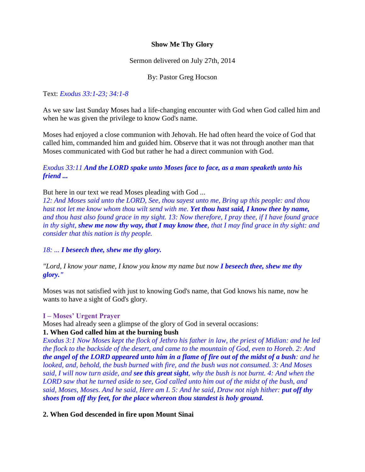## **Show Me Thy Glory**

Sermon delivered on July 27th, 2014

By: Pastor Greg Hocson

## Text: *Exodus 33:1-23; 34:1-8*

As we saw last Sunday Moses had a life-changing encounter with God when God called him and when he was given the privilege to know God's name.

Moses had enjoyed a close communion with Jehovah. He had often heard the voice of God that called him, commanded him and guided him. Observe that it was not through another man that Moses communicated with God but rather he had a direct communion with God.

## *Exodus 33:11 And the LORD spake unto Moses face to face, as a man speaketh unto his friend ...*

But here in our text we read Moses pleading with God ...

*12: And Moses said unto the LORD, See, thou sayest unto me, Bring up this people: and thou hast not let me know whom thou wilt send with me. Yet thou hast said, I know thee by name, and thou hast also found grace in my sight. 13: Now therefore, I pray thee, if I have found grace in thy sight, shew me now thy way, that I may know thee, that I may find grace in thy sight: and consider that this nation is thy people.*

*18: ... I beseech thee, shew me thy glory.* 

*"Lord, I know your name, I know you know my name but now I beseech thee, shew me thy glory."*

Moses was not satisfied with just to knowing God's name, that God knows his name, now he wants to have a sight of God's glory.

### **I – Moses' Urgent Prayer**

Moses had already seen a glimpse of the glory of God in several occasions:

### **1. When God called him at the burning bush**

*Exodus 3:1 Now Moses kept the flock of Jethro his father in law, the priest of Midian: and he led the flock to the backside of the desert, and came to the mountain of God, even to Horeb. 2: And the angel of the LORD appeared unto him in a flame of fire out of the midst of a bush: and he looked, and, behold, the bush burned with fire, and the bush was not consumed. 3: And Moses said, I will now turn aside, and see this great sight, why the bush is not burnt. 4: And when the LORD saw that he turned aside to see, God called unto him out of the midst of the bush, and said, Moses, Moses. And he said, Here am I. 5: And he said, Draw not nigh hither: put off thy shoes from off thy feet, for the place whereon thou standest is holy ground.*

### **2. When God descended in fire upon Mount Sinai**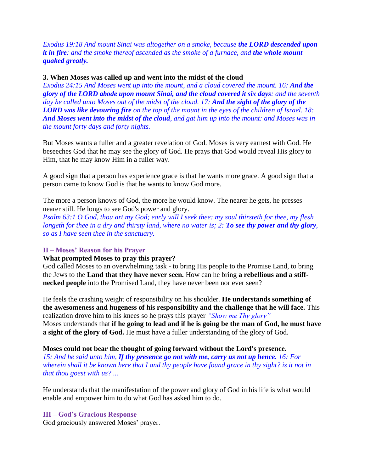*Exodus 19:18 And mount Sinai was altogether on a smoke, because the LORD descended upon it in fire: and the smoke thereof ascended as the smoke of a furnace, and the whole mount quaked greatly.*

#### **3. When Moses was called up and went into the midst of the cloud**

*Exodus 24:15 And Moses went up into the mount, and a cloud covered the mount. 16: And the glory of the LORD abode upon mount Sinai, and the cloud covered it six days: and the seventh day he called unto Moses out of the midst of the cloud. 17: And the sight of the glory of the LORD was like devouring fire on the top of the mount in the eyes of the children of Israel. 18: And Moses went into the midst of the cloud, and gat him up into the mount: and Moses was in the mount forty days and forty nights.*

But Moses wants a fuller and a greater revelation of God. Moses is very earnest with God. He beseeches God that he may see the glory of God. He prays that God would reveal His glory to Him, that he may know Him in a fuller way.

A good sign that a person has experience grace is that he wants more grace. A good sign that a person came to know God is that he wants to know God more.

The more a person knows of God, the more he would know. The nearer he gets, he presses nearer still. He longs to see God's power and glory.

*Psalm 63:1 O God, thou art my God; early will I seek thee: my soul thirsteth for thee, my flesh longeth for thee in a dry and thirsty land, where no water is; 2: To see thy power and thy glory, so as I have seen thee in the sanctuary.*

#### **II – Moses' Reason for his Prayer**

#### **What prompted Moses to pray this prayer?**

God called Moses to an overwhelming task - to bring His people to the Promise Land, to bring the Jews to the **Land that they have never seen.** How can he bring **a rebellious and a stiffnecked people** into the Promised Land, they have never been nor ever seen?

He feels the crashing weight of responsibility on his shoulder. **He understands something of the awesomeness and hugeness of his responsibility and the challenge that he will face.** This realization drove him to his knees so he prays this prayer *"Show me Thy glory"*  Moses understands that **if he going to lead and if he is going be the man of God, he must have a sight of the glory of God.** He must have a fuller understanding of the glory of God.

#### **Moses could not bear the thought of going forward without the Lord's presence.**

*15: And he said unto him, If thy presence go not with me, carry us not up hence. 16: For wherein shall it be known here that I and thy people have found grace in thy sight? is it not in that thou goest with us? ...*

He understands that the manifestation of the power and glory of God in his life is what would enable and empower him to do what God has asked him to do.

### **III – God's Gracious Response**

God graciously answered Moses' prayer.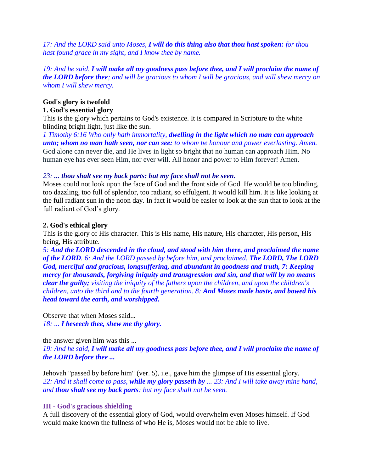*17: And the LORD said unto Moses, I will do this thing also that thou hast spoken: for thou hast found grace in my sight, and I know thee by name.*

*19: And he said, I will make all my goodness pass before thee, and I will proclaim the name of the LORD before thee; and will be gracious to whom I will be gracious, and will shew mercy on whom I will shew mercy.*

## **God's glory is twofold**

### **1. God's essential glory**

This is the glory which pertains to God's existence. It is compared in Scripture to the white blinding bright light, just like the sun.

*1 Timothy 6:16 Who only hath immortality, dwelling in the light which no man can approach unto; whom no man hath seen, nor can see: to whom be honour and power everlasting. Amen.* God alone can never die, and He lives in light so bright that no human can approach Him. No human eye has ever seen Him, nor ever will. All honor and power to Him forever! Amen.

### *23: ... thou shalt see my back parts: but my face shall not be seen.*

Moses could not look upon the face of God and the front side of God. He would be too blinding, too dazzling, too full of splendor, too radiant, so effulgent. It would kill him. It is like looking at the full radiant sun in the noon day. In fact it would be easier to look at the sun that to look at the full radiant of God's glory.

### **2. God's ethical glory**

This is the glory of His character. This is His name, His nature, His character, His person, His being, His attribute.

*5: And the LORD descended in the cloud, and stood with him there, and proclaimed the name of the LORD. 6: And the LORD passed by before him, and proclaimed, The LORD, The LORD God, merciful and gracious, longsuffering, and abundant in goodness and truth, 7: Keeping mercy for thousands, forgiving iniquity and transgression and sin, and that will by no means clear the guilty; visiting the iniquity of the fathers upon the children, and upon the children's children, unto the third and to the fourth generation. 8: And Moses made haste, and bowed his head toward the earth, and worshipped.*

Observe that when Moses said... *18: ... I beseech thee, shew me thy glory.* 

the answer given him was this ... *19: And he said, I will make all my goodness pass before thee, and I will proclaim the name of the LORD before thee ...*

Jehovah "passed by before him" (ver. 5), i.e., gave him the glimpse of His essential glory. *22: And it shall come to pass, while my glory passeth by ... 23: And I will take away mine hand, and thou shalt see my back parts: but my face shall not be seen.*

### **III - God's gracious shielding**

A full discovery of the essential glory of God, would overwhelm even Moses himself. If God would make known the fullness of who He is, Moses would not be able to live.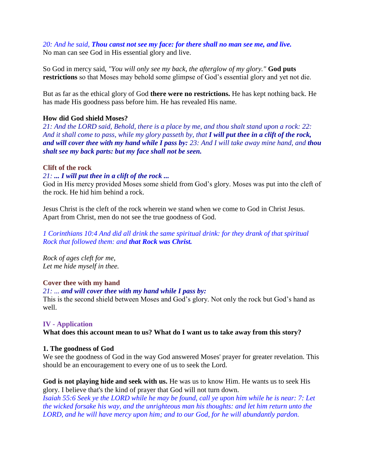## *20: And he said, Thou canst not see my face: for there shall no man see me, and live.*

No man can see God in His essential glory and live.

So God in mercy said, *"You will only see my back, the afterglow of my glory."* **God puts restrictions** so that Moses may behold some glimpse of God's essential glory and yet not die.

But as far as the ethical glory of God **there were no restrictions.** He has kept nothing back. He has made His goodness pass before him. He has revealed His name.

### **How did God shield Moses?**

*21: And the LORD said, Behold, there is a place by me, and thou shalt stand upon a rock: 22: And it shall come to pass, while my glory passeth by, that I will put thee in a clift of the rock, and will cover thee with my hand while I pass by: 23: And I will take away mine hand, and thou shalt see my back parts: but my face shall not be seen.*

## **Clift of the rock**

## *21: ... I will put thee in a clift of the rock ...*

God in His mercy provided Moses some shield from God's glory. Moses was put into the cleft of the rock. He hid him behind a rock.

Jesus Christ is the cleft of the rock wherein we stand when we come to God in Christ Jesus. Apart from Christ, men do not see the true goodness of God.

*1 Corinthians 10:4 And did all drink the same spiritual drink: for they drank of that spiritual Rock that followed them: and that Rock was Christ.*

*Rock of ages cleft for me, Let me hide myself in thee.*

# **Cover thee with my hand**

### *21: ... and will cover thee with my hand while I pass by:*

This is the second shield between Moses and God's glory. Not only the rock but God's hand as well.

### **IV - Application**

**What does this account mean to us? What do I want us to take away from this story?**

### **1. The goodness of God**

We see the goodness of God in the way God answered Moses' prayer for greater revelation. This should be an encouragement to every one of us to seek the Lord.

**God is not playing hide and seek with us.** He was us to know Him. He wants us to seek His glory. I believe that's the kind of prayer that God will not turn down.

*Isaiah 55:6 Seek ye the LORD while he may be found, call ye upon him while he is near: 7: Let the wicked forsake his way, and the unrighteous man his thoughts: and let him return unto the LORD, and he will have mercy upon him; and to our God, for he will abundantly pardon.*